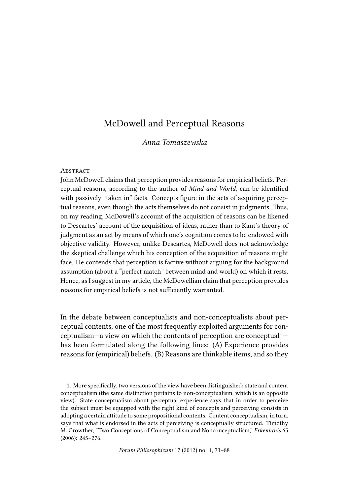# McDowell and Perceptual Reasons

# *Anna Tomaszewska*

#### **ABSTRACT**

John McDowell claims that perception provides reasons for empirical beliefs. Perceptual reasons, according to the author of *Mind and World*, can be identified with passively "taken in" facts. Concepts figure in the acts of acquiring perceptual reasons, even though the acts themselves do not consist in judgments. Thus, on my reading, McDowell's account of the acquisition of reasons can be likened to Descartes' account of the acquisition of ideas, rather than to Kant's theory of judgment as an act by means of which one's cognition comes to be endowed with objective validity. However, unlike Descartes, McDowell does not acknowledge the skeptical challenge which his conception of the acquisition of reasons might face. He contends that perception is factive without arguing for the background assumption (about a "perfect match" between mind and world) on which it rests. Hence, as I suggest in my article, the McDowellian claim that perception provides reasons for empirical beliefs is not sufficiently warranted.

In the debate between conceptualists and non-conceptualists about perceptual contents, one of the most frequently exploited arguments for conceptualism—a view on which the contents of perception are conceptual<sup>1</sup> has been formulated along the following lines: (A) Experience provides reasons for (empirical) beliefs. (B) Reasons are thinkable items, and so they

1. More specifically, two versions of the view have been distinguished: state and content conceptualism (the same distinction pertains to non-conceptualism, which is an opposite view). State conceptualism about perceptual experience says that in order to perceive the subject must be equipped with the right kind of concepts and perceiving consists in adopting a certain attitude to some propositional contents. Content conceptualism, in turn, says that what is endorsed in the acts of perceiving is conceptually structured. Timothy M. Crowther, "Two Conceptions of Conceptualism and Nonconceptualism," *Erkenntnis* 65 (2006): 245–276.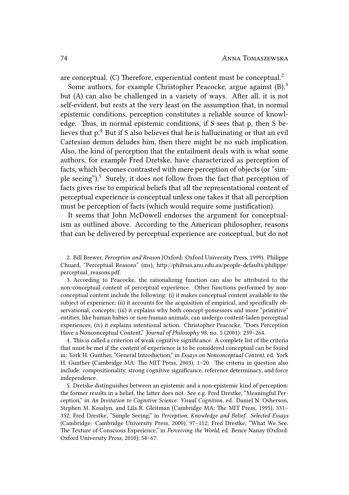are conceptual. (C) Therefore, experiential content must be conceptual. $2$ 

Some authors, for example Christopher Peacocke, argue against  $(B)$ ,<sup>3</sup> but (A) can also be challenged in a variety of ways. After all, it is not self-evident, but rests at the very least on the assumption that, in normal epistemic conditions, perception constitutes a reliable source of knowledge. Thus, in normal epistemic conditions, if S sees that p, then S believes that p.<sup>4</sup> But if S also believes that he is hallucinating or that an evil Cartesian demon deludes him, then there might be no such implication. Also, the kind of perception that the entailment deals with is what some authors, for example Fred Dretske, have characterized as perception of facts, which becomes contrasted with mere perception of objects (or "simple seeing").<sup>5</sup> Surely, it does not follow from the fact that perception of facts gives rise to empirical beliefs that all the representational content of perceptual experience is conceptual unless one takes it that all perception must be perception of facts (which would require some justification).

It seems that John McDowell endorses the argument for conceptualism as outlined above. According to the American philosopher, reasons that can be delivered by perceptual experience are conceptual, but do not

2. Bill Brewer, *Perception and Reason* (Oxford: Oxford University Press, 1999). Philippe Chuard, "Perceptual Reasons" (ms), http://philrsss.anu.edu.au/people-defaults/philippe/ perceptual reasons.pdf.

3. According to Peacocke, the rationalizing function can also be attributed to the non-conceptual content of perceptual experience. Other functions performed by nonconceptual content include the following: (i) it makes conceptual content available to the subject of experience; (ii) it accounts for the acquisition of empirical, and specifically observational, concepts; (iii) it explains why both concept-possessors and more "primitive" entities, like human babies or non-human animals, can undergo content-laden perceptual experiences; (iv) it explains intentional action. Christopher Peacocke, "Does Perception Have a Nonconceptual Content," *Journal of Philosophy* 98, no. 5 (2001): 239–264.

4. This is called a criterion of weak cognitive significance. A complete list of the criteria that must be met if the content of experience is to be considered conceptual can be found in: York H. Gunther, "General Introduction," in *Essays on Nonconceptual Content*, ed. York H. Gunther (Cambridge MA: The MIT Press, 2003),  $1-20$ . The criteria in question also include: compositionality, strong cognitive significance, reference determinacy, and force independence.

5. Dretske distinguishes between an epistemic and a non-epistemic kind of perception: the former results in a belief, the latter does not. See e.g. Fred Drestke, "Meaningful Perception," in *An Invitation to Cognitive Science: Visual Cognition*, ed. Daniel N. Osherson, Stephen M. Kosslyn, and Lila R. Gleitman (Cambridge MA: The MIT Press, 1995), 331-352; Fred Drestke, "Simple Seeing," in *Perception, Knowledge and Belief. Selected Essays* (Cambridge: Cambridge University Press, 2000), 97–112; Fred Drestke, "What We See. e Texture of Conscious Experience," in *Perceiving the World*, ed. Bence Nanay (Oxford: Oxford University Press, 2010), 54–67.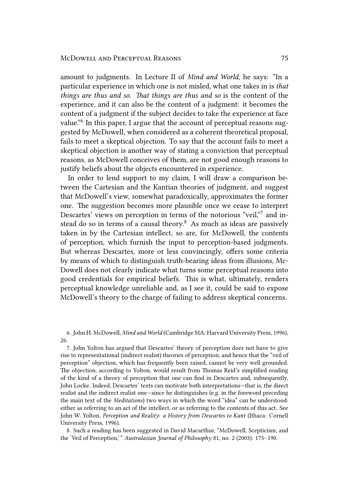#### MCDOWELL AND PERCEPTUAL REASONS 75

amount to judgments. In Lecture II of *Mind and World*, he says: "In a particular experience in which one is not misled, what one takes in is *that things are thus and so. That things are thus and so is the content of the* experience, and it can also be the content of a judgment: it becomes the content of a judgment if the subject decides to take the experience at face value."<sup>6</sup> In this paper, I argue that the account of perceptual reasons suggested by McDowell, when considered as a coherent theoretical proposal, fails to meet a skeptical objection. To say that the account fails to meet a skeptical objection is another way of stating a conviction that perceptual reasons, as McDowell conceives of them, are not good enough reasons to justify beliefs about the objects encountered in experience.

In order to lend support to my claim, I will draw a comparison between the Cartesian and the Kantian theories of judgment, and suggest that McDowell's view, somewhat paradoxically, approximates the former one. The suggestion becomes more plausible once we cease to interpret Descartes' views on perception in terms of the notorious "veil,"7 and instead do so in terms of a causal theory. $8$  As much as ideas are passively taken in by the Cartesian intellect, so are, for McDowell, the contents of perception, which furnish the input to perception-based judgments. But whereas Descartes, more or less convincingly, offers some criteria by means of which to distinguish truth-bearing ideas from illusions, Mc-Dowell does not clearly indicate what turns some perceptual reasons into good credentials for empirical beliefs. This is what, ultimately, renders perceptual knowledge unreliable and, as I see it, could be said to expose McDowell's theory to the charge of failing to address skeptical concerns.

6. John H. McDowell, *Mind and World* (Cambridge MA: Harvard University Press, 1996), 26.

7. John Yolton has argued that Descartes' theory of perception does not have to give rise to representational (indirect realist) theories of perception, and hence that the "veil of perception" objection, which has frequently been raised, cannot be very well grounded. The objection, according to Yolton, would result from Thomas Reid's simplified reading of the kind of a theory of perception that one can find in Descartes and, subsequently, John Locke. Indeed, Descartes' texts can motivate both interpretations—that is, the direct realist and the indirect realist one—since he distinguishes (e.g. in the foreword preceding the main text of the *Meditations*) two ways in which the word "idea" can be understood: either as referring to an act of the intellect, or as referring to the contents of this act. See John W. Yolton, *Perception and Reality: a History from Descartes to Kant* (Ithaca: Cornell University Press, 1996).

8. Such a reading has been suggested in David Macarthur, "McDowell, Scepticism, and the 'Veil of Perception,' " *Australasian Journal of Philosophy* 81, no. 2 (2003): 175–190.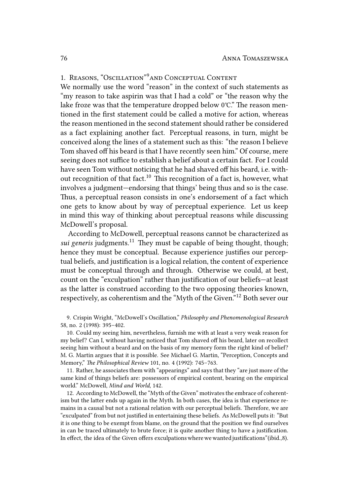# 1. REASONS, "OSCILLATION"<sup>9</sup> AND CONCEPTUAL CONTENT

We normally use the word "reason" in the context of such statements as "my reason to take aspirin was that I had a cold" or "the reason why the lake froze was that the temperature dropped below  $0^{\circ}$ C." The reason mentioned in the first statement could be called a motive for action, whereas the reason mentioned in the second statement should rather be considered as a fact explaining another fact. Perceptual reasons, in turn, might be conceived along the lines of a statement such as this: "the reason I believe Tom shaved off his beard is that I have recently seen him." Of course, mere seeing does not suffice to establish a belief about a certain fact. For I could have seen Tom without noticing that he had shaved off his beard, i.e. without recognition of that fact.<sup>10</sup> This recognition of a fact is, however, what involves a judgment—endorsing that things' being thus and so is the case. Thus, a perceptual reason consists in one's endorsement of a fact which one gets to know about by way of perceptual experience. Let us keep in mind this way of thinking about perceptual reasons while discussing McDowell's proposal.

According to McDowell, perceptual reasons cannot be characterized as *sui generis* judgments.<sup>11</sup> They must be capable of being thought, though; hence they must be conceptual. Because experience justifies our perceptual beliefs, and justification is a logical relation, the content of experience must be conceptual through and through. Otherwise we could, at best, count on the "exculpation" rather than justification of our beliefs—at least as the latter is construed according to the two opposing theories known, respectively, as coherentism and the "Myth of the Given."<sup>12</sup> Both sever our

9. Crispin Wright, "McDowell's Oscillation," *Philosophy and Phenomenological Research* 58, no. 2 (1998): 395–402.

10. Could my seeing him, nevertheless, furnish me with at least a very weak reason for my belie? Can I, without having noticed that Tom shaved off his beard, later on recollect seeing him without a beard and on the basis of my memory form the right kind of belief? M. G. Martin argues that it is possible. See Michael G. Martin, "Perception, Concepts and Memory," *The Philosophical Review* 101, no. 4 (1992): 745-763.

11. Rather, he associates them with "appearings" and says that they "are just more of the same kind of things beliefs are: possessors of empirical content, bearing on the empirical world." McDowell, *Mind and World*, 142.

12. According to McDowell, the "Myth of the Given" motivates the embrace of coherentism but the latter ends up again in the Myth. In both cases, the idea is that experience remains in a causal but not a rational relation with our perceptual beliefs. Therefore, we are "exculpated" from but not justified in entertaining these beliefs. As McDowell puts it: "But it is one thing to be exempt from blame, on the ground that the position we find ourselves in can be traced ultimately to brute force; it is quite another thing to have a justification. In effect, the idea of the Given offers exculpations where we wanted justifications"(ibid.,8).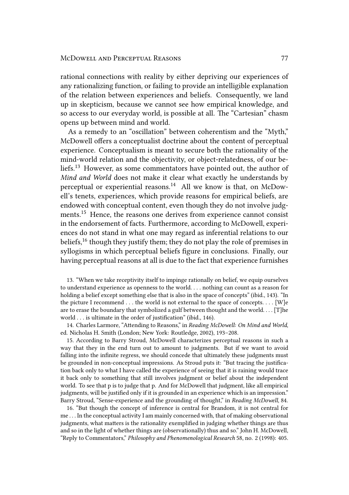rational connections with reality by either depriving our experiences of any rationalizing function, or failing to provide an intelligible explanation of the relation between experiences and beliefs. Consequently, we land up in skepticism, because we cannot see how empirical knowledge, and so access to our everyday world, is possible at all. The "Cartesian" chasm opens up between mind and world.

As a remedy to an "oscillation" between coherentism and the "Myth," McDowell offers a conceptualist doctrine about the content of perceptual experience. Conceptualism is meant to secure both the rationality of the mind-world relation and the objectivity, or object-relatedness, of our beliefs.<sup>13</sup> However, as some commentators have pointed out, the author of *Mind and World* does not make it clear what exactly he understands by perceptual or experiential reasons.<sup>14</sup> All we know is that, on McDowell's tenets, experiences, which provide reasons for empirical beliefs, are endowed with conceptual content, even though they do not involve judgments.<sup>15</sup> Hence, the reasons one derives from experience cannot consist in the endorsement of facts. Furthermore, according to McDowell, experiences do not stand in what one may regard as inferential relations to our beliefs,<sup>16</sup> though they justify them; they do not play the role of premises in syllogisms in which perceptual beliefs figure in conclusions. Finally, our having perceptual reasons at all is due to the fact that experience furnishes

13. "When we take receptivity itself to impinge rationally on belief, we equip ourselves to understand experience as openness to the world. . . . nothing can count as a reason for holding a belief except something else that is also in the space of concepts" (ibid., 143). "In the picture I recommend  $\dots$  the world is not external to the space of concepts.  $\dots$  [W]e are to erase the boundary that symbolized a gulf between thought and the world. . . . [T]he world . . . is ultimate in the order of justification" (ibid., 146).

14. Charles Larmore, "Attending to Reasons," in *Reading McDowell: On Mind and World*, ed. Nicholas H. Smith (London; New York: Routledge, 2002), 193–208.

15. According to Barry Stroud, McDowell characterizes perceptual reasons in such a way that they in the end turn out to amount to judgments. But if we want to avoid falling into the infinite regress, we should concede that ultimately these judgments must be grounded in non-conceptual impressions. As Stroud puts it: "But tracing the justification back only to what I have called the experience of seeing that it is raining would trace it back only to something that still involves judgment or belief about the independent world. To see that p is to judge that p. And for McDowell that judgment, like all empirical judgments, will be justified only if it is grounded in an experience which is an impression." Barry Stroud, "Sense-experience and the grounding of thought," in *Reading McDowell*, 84.

16. "But though the concept of inference is central for Brandom, it is not central for me . . . In the conceptual activity I am mainly concerned with, that of making observational judgments, what matters is the rationality exemplified in judging whether things are thus and so in the light of whether things are (observationally) thus and so." John H. McDowell, "Reply to Commentators," *Philosophy and Phenomenological Research* 58, no. 2 (1998): 405.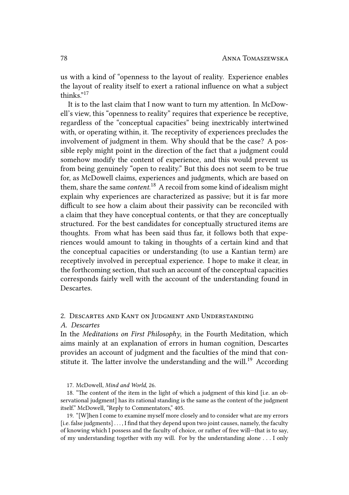us with a kind of "openness to the layout of reality. Experience enables the layout of reality itself to exert a rational influence on what a subject thinks."<sup>17</sup>

It is to the last claim that I now want to turn my attention. In McDowell's view, this "openness to reality" requires that experience be receptive, regardless of the "conceptual capacities" being inextricably intertwined with, or operating within, it. The receptivity of experiences precludes the involvement of judgment in them. Why should that be the case? A possible reply might point in the direction of the fact that a judgment could somehow modify the content of experience, and this would prevent us from being genuinely "open to reality." But this does not seem to be true for, as McDowell claims, experiences and judgments, which are based on them, share the same *content*. <sup>18</sup> A recoil from some kind of idealism might explain why experiences are characterized as passive; but it is far more difficult to see how a claim about their passivity can be reconciled with a claim that they have conceptual contents, or that they are conceptually structured. For the best candidates for conceptually structured items are thoughts. From what has been said thus far, it follows both that experiences would amount to taking in thoughts of a certain kind and that the conceptual capacities or understanding (to use a Kantian term) are receptively involved in perceptual experience. I hope to make it clear, in the forthcoming section, that such an account of the conceptual capacities corresponds fairly well with the account of the understanding found in Descartes.

## 2. DESCARTES AND KANT ON JUDGMENT AND UNDERSTANDING

### *A. Descartes*

In the *Meditations on First Philosophy*, in the Fourth Meditation, which aims mainly at an explanation of errors in human cognition, Descartes provides an account of judgment and the faculties of the mind that constitute it. The latter involve the understanding and the will.<sup>19</sup> According

18. "The content of the item in the light of which a judgment of this kind [i.e. an observational judgment] has its rational standing is the same as the content of the judgment itself." McDowell, "Reply to Commentators," 405.

19. "[W]hen I come to examine myself more closely and to consider what are my errors [i.e. false judgments] . . . , I find that they depend upon two joint causes, namely, the faculty of knowing which I possess and the faculty of choice, or rather of free will—that is to say, of my understanding together with my will. For by the understanding alone . . . I only

<sup>17.</sup> McDowell, *Mind and World*, 26.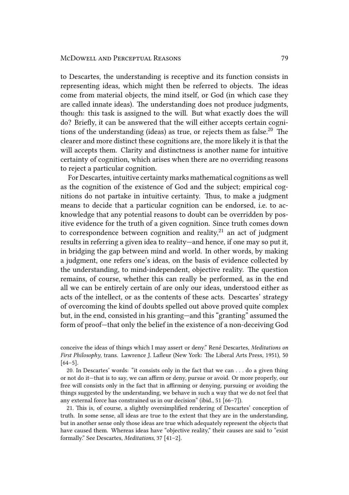#### MCDOWELL AND PERCEPTUAL REASONS 79

to Descartes, the understanding is receptive and its function consists in representing ideas, which might then be referred to objects. The ideas come from material objects, the mind itself, or God (in which case they are called innate ideas). The understanding does not produce judgments, though: this task is assigned to the will. But what exactly does the will do? Briefly, it can be answered that the will either accepts certain cognitions of the understanding (ideas) as true, or rejects them as false. $^{20}$  The clearer and more distinct these cognitions are, the more likely it is that the will accepts them. Clarity and distinctness is another name for intuitive certainty of cognition, which arises when there are no overriding reasons to reject a particular cognition.

For Descartes, intuitive certainty marks mathematical cognitions as well as the cognition of the existence of God and the subject; empirical cognitions do not partake in intuitive certainty. Thus, to make a judgment means to decide that a particular cognition can be endorsed, i.e. to acknowledge that any potential reasons to doubt can be overridden by positive evidence for the truth of a given cognition. Since truth comes down to correspondence between cognition and reality, $21$  an act of judgment results in referring a given idea to reality—and hence, if one may so put it, in bridging the gap between mind and world. In other words, by making a judgment, one refers one's ideas, on the basis of evidence collected by the understanding, to mind-independent, objective reality. The question remains, of course, whether this can really be performed, as in the end all we can be entirely certain of are only our ideas, understood either as acts of the intellect, or as the contents of these acts. Descartes' strategy of overcoming the kind of doubts spelled out above proved quite complex but, in the end, consisted in his granting—and this "granting" assumed the form of proof—that only the belief in the existence of a non-deceiving God

conceive the ideas of things which I may assert or deny." René Descartes, *Meditations on First Philosophy*, trans. Lawrence J. Lafleur (New York: The Liberal Arts Press, 1951), 50 [64–5].

20. In Descartes' words: "it consists only in the fact that we can . . . do a given thing or not do it—that is to say, we can affirm or deny, pursue or avoid. Or more properly, our free will consists only in the fact that in affirming or denying, pursuing or avoiding the things suggested by the understanding, we behave in such a way that we do not feel that any external force has constrained us in our decision" (ibid., 51 [66–7]).

21. This is, of course, a slightly oversimplified rendering of Descartes' conception of truth. In some sense, all ideas are true to the extent that they are in the understanding, but in another sense only those ideas are true which adequately represent the objects that have caused them. Whereas ideas have "objective reality," their causes are said to "exist formally." See Descartes, *Meditations*, 37 [41–2].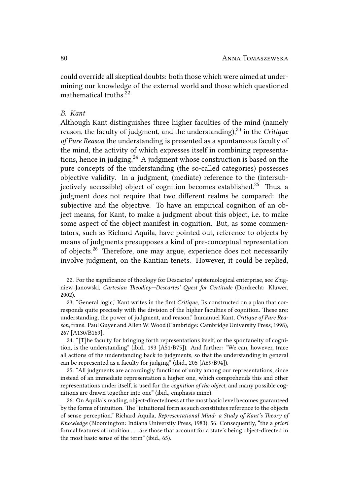could override all skeptical doubts: both those which were aimed at undermining our knowledge of the external world and those which questioned mathematical truths.<sup>22</sup>

# *B. Kant*

Although Kant distinguishes three higher faculties of the mind (namely reason, the faculty of judgment, and the understanding),<sup>23</sup> in the *Critique of Pure Reason* the understanding is presented as a spontaneous faculty of the mind, the activity of which expresses itself in combining representations, hence in judging.<sup>24</sup> A judgment whose construction is based on the pure concepts of the understanding (the so-called categories) possesses objective validity. In a judgment, (mediate) reference to the (intersubjectively accessible) object of cognition becomes established.<sup>25</sup> Thus, a judgment does not require that two different realms be compared: the subjective and the objective. To have an empirical cognition of an object means, for Kant, to make a judgment about this object, i.e. to make some aspect of the object manifest in cognition. But, as some commentators, such as Richard Aquila, have pointed out, reference to objects by means of judgments presupposes a kind of pre-conceptual representation of objects.<sup>26</sup> Therefore, one may argue, experience does not necessarily involve judgment, on the Kantian tenets. However, it could be replied,

22. For the significance of theology for Descartes' epistemological enterprise, see Zbigniew Janowski, *Cartesian Theodicy-Descartes' Quest for Certitude* (Dordrecht: Kluwer, 2002).

23. "General logic," Kant writes in the first *Critique*, "is constructed on a plan that corresponds quite precisely with the division of the higher faculties of cognition. These are: understanding, the power of judgment, and reason." Immanuel Kant, *Critique of Pure Reason*, trans. Paul Guyer and Allen W. Wood (Cambridge: Cambridge University Press, 1998), 267 [A130/B169].

24. "[T]he faculty for bringing forth representations itself, or the spontaneity of cognition, is the understanding" (ibid., 193 [A51/B75]). And further: "We can, however, trace all actions of the understanding back to judgments, so that the understanding in general can be represented as a faculty for judging" (ibid., 205 [A69/B94]).

25. "All judgments are accordingly functions of unity among our representations, since instead of an immediate representation a higher one, which comprehends this and other representations under itself, is used for the *cognition of the object*, and many possible cognitions are drawn together into one" (ibid., emphasis mine).

26. On Aquila's reading, object-directedness at the most basic level becomes guaranteed by the forms of intuition. The "intuitional form as such constitutes reference to the objects of sense perception." Richard Aquila, *Representational Mind: a Study of Kant's Theory of Knowledge* (Bloomington: Indiana University Press, 1983), 56. Consequently, "the a *priori* formal features of intuition . . . are those that account for a state's being object-directed in the most basic sense of the term" (ibid., 65).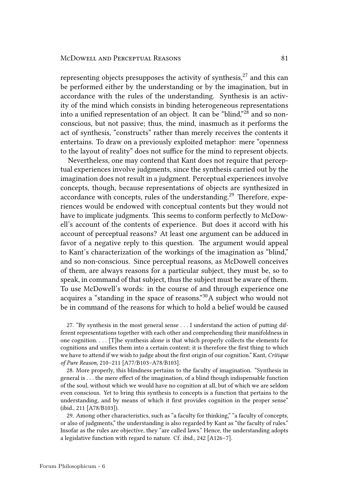representing objects presupposes the activity of synthesis, $^{27}$  and this can be performed either by the understanding or by the imagination, but in accordance with the rules of the understanding. Synthesis is an activity of the mind which consists in binding heterogeneous representations into a unified representation of an object. It can be "blind,"<sup>28</sup> and so nonconscious, but not passive; thus, the mind, inasmuch as it performs the act of synthesis, "constructs" rather than merely receives the contents it entertains. To draw on a previously exploited metaphor: mere "openness to the layout of reality" does not suffice for the mind to represent objects.

Nevertheless, one may contend that Kant does not require that perceptual experiences involve judgments, since the synthesis carried out by the imagination does not result in a judgment. Perceptual experiences involve concepts, though, because representations of objects are synthesized in accordance with concepts, rules of the understanding.<sup>29</sup> Therefore, experiences would be endowed with conceptual contents but they would not have to implicate judgments. This seems to conform perfectly to McDowell's account of the contents of experience. But does it accord with his account of perceptual reasons? At least one argument can be adduced in favor of a negative reply to this question. The argument would appeal to Kant's characterization of the workings of the imagination as "blind," and so non-conscious. Since perceptual reasons, as McDowell conceives of them, are always reasons for a particular subject, they must be, so to speak, in command of that subject, thus the subject must be aware of them. To use McDowell's words: in the course of and through experience one acquires a "standing in the space of reasons."30A subject who would not be in command of the reasons for which to hold a belief would be caused

27. "By synthesis in the most general sense . . . I understand the action of puing different representations together with each other and comprehending their manifoldness in one cognition. . . . [T]he synthesis alone is that which properly collects the elements for cognitions and unifies them into a certain content; it is therefore the first thing to which we have to attend if we wish to judge about the first origin of our cognition." Kant, *Critique of Pure Reason*, 210–211 [A77/B103–A78/B103].

28. More properly, this blindness pertains to the faculty of imagination. "Synthesis in general is . . . the mere effect of the imagination, of a blind though indispensable function of the soul, without which we would have no cognition at all, but of which we are seldom even conscious. Yet to bring this synthesis to concepts is a function that pertains to the understanding, and by means of which it first provides cognition in the proper sense" (ibid., 211 [A78/B103]).

29. Among other characteristics, such as "a faculty for thinking," "a faculty of concepts, or also of judgments," the understanding is also regarded by Kant as "the faculty of rules." Insofar as the rules are objective, they "are called laws." Hence, the understanding adopts a legislative function with regard to nature. Cf. ibid., 242 [A126–7].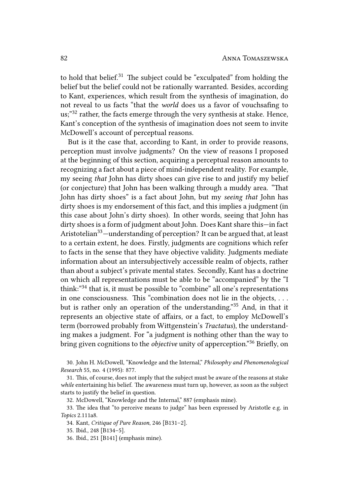to hold that belief. $31$  The subject could be "exculpated" from holding the belief but the belief could not be rationally warranted. Besides, according to Kant, experiences, which result from the synthesis of imagination, do not reveal to us facts "that the *world* does us a favor of vouchsafing to us;"<sup>32</sup> rather, the facts emerge through the very synthesis at stake. Hence, Kant's conception of the synthesis of imagination does not seem to invite McDowell's account of perceptual reasons.

But is it the case that, according to Kant, in order to provide reasons, perception must involve judgments? On the view of reasons I proposed at the beginning of this section, acquiring a perceptual reason amounts to recognizing a fact about a piece of mind-independent reality. For example, my seeing *that* John has dirty shoes can give rise to and justify my belief (or conjecture) that John has been walking through a muddy area. "That John has dirty shoes" is a fact about John, but my *seeing that* John has dirty shoes is my endorsement of this fact, and this implies a judgment (in this case about John's dirty shoes). In other words, seeing that John has dirty shoes is a form of judgment about John. Does Kant share this—in fact Aristotelian<sup>33</sup>—understanding of perception? It can be argued that, at least to a certain extent, he does. Firstly, judgments are cognitions which refer to facts in the sense that they have objective validity. Judgments mediate information about an intersubjectively accessible realm of objects, rather than about a subject's private mental states. Secondly, Kant has a doctrine on which all representations must be able to be "accompanied" by the "I think:"<sup>34</sup> that is, it must be possible to "combine" all one's representations in one consciousness. This "combination does not lie in the objects,  $\dots$ but is rather only an operation of the understanding."<sup>35</sup> And, in that it represents an objective state of affairs, or a fact, to employ McDowell's term (borrowed probably from Wittgenstein's *Tractatus*), the understanding makes a judgment. For "a judgment is nothing other than the way to bring given cognitions to the *objective* unity of apperception."<sup>36</sup> Briefly, on

30. John H. McDowell, "Knowledge and the Internal," *Philosophy and Phenomenological Research* 55, no. 4 (1995): 877.

31. This, of course, does not imply that the subject must be aware of the reasons at stake *while* entertaining his belief. The awareness must turn up, however, as soon as the subject starts to justify the belief in question.

32. McDowell, "Knowledge and the Internal," 887 (emphasis mine).

33. The idea that "to perceive means to judge" has been expressed by Aristotle e.g. in *Topics* 2.111a8.

34. Kant, *Critique of Pure Reason*, 246 [B131–2].

35. Ibid., 248 [B134–5].

36. Ibid., 251 [B141] (emphasis mine).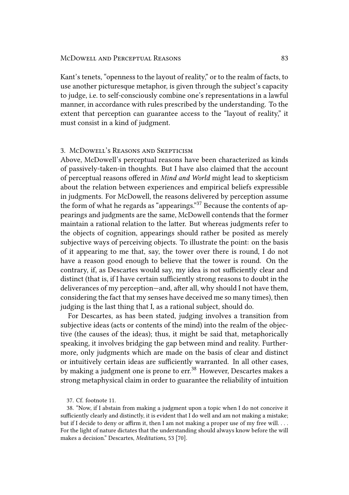Kant's tenets, "openness to the layout of reality," or to the realm of facts, to use another picturesque metaphor, is given through the subject's capacity to judge, i.e. to self-consciously combine one's representations in a lawful manner, in accordance with rules prescribed by the understanding. To the extent that perception can guarantee access to the "layout of reality," it must consist in a kind of judgment.

# 3. MCDOWELL'S REASONS AND SKEPTICISM

Above, McDowell's perceptual reasons have been characterized as kinds of passively-taken-in thoughts. But I have also claimed that the account of perceptual reasons offered in *Mind and World* might lead to skepticism about the relation between experiences and empirical beliefs expressible in judgments. For McDowell, the reasons delivered by perception assume the form of what he regards as "appearings."<sup>37</sup> Because the contents of appearings and judgments are the same, McDowell contends that the former maintain a rational relation to the latter. But whereas judgments refer to the objects of cognition, appearings should rather be posited as merely subjective ways of perceiving objects. To illustrate the point: on the basis of it appearing to me that, say, the tower over there is round, I do not have a reason good enough to believe that the tower is round. On the contrary, if, as Descartes would say, my idea is not sufficiently clear and distinct (that is, if I have certain sufficiently strong reasons to doubt in the deliverances of my perception—and, after all, why should I not have them, considering the fact that my senses have deceived me so many times), then judging is the last thing that I, as a rational subject, should do.

For Descartes, as has been stated, judging involves a transition from subjective ideas (acts or contents of the mind) into the realm of the objective (the causes of the ideas); thus, it might be said that, metaphorically speaking, it involves bridging the gap between mind and reality. Furthermore, only judgments which are made on the basis of clear and distinct or intuitively certain ideas are sufficiently warranted. In all other cases, by making a judgment one is prone to err.<sup>38</sup> However, Descartes makes a strong metaphysical claim in order to guarantee the reliability of intuition

<sup>37.</sup> Cf. footnote 11.

<sup>38. &</sup>quot;Now, if I abstain from making a judgment upon a topic when I do not conceive it sufficiently clearly and distinctly, it is evident that I do well and am not making a mistake; but if I decide to deny or affirm it, then I am not making a proper use of my free will. . . . For the light of nature dictates that the understanding should always know before the will makes a decision." Descartes, *Meditations*, 53 [70].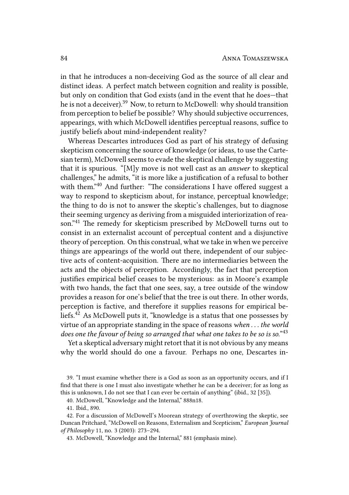in that he introduces a non-deceiving God as the source of all clear and distinct ideas. A perfect match between cognition and reality is possible, but only on condition that God exists (and in the event that he does—that he is not a deceiver).<sup>39</sup> Now, to return to McDowell: why should transition from perception to belief be possible? Why should subjective occurrences, appearings, with which McDowell identifies perceptual reasons, suffice to justify beliefs about mind-independent reality?

Whereas Descartes introduces God as part of his strategy of defusing skepticism concerning the source of knowledge (or ideas, to use the Cartesian term), McDowell seems to evade the skeptical challenge by suggesting that it is spurious. "[M]y move is not well cast as an *answer* to skeptical challenges," he admits, "it is more like a justification of a refusal to bother with them."<sup>40</sup> And further: "The considerations I have offered suggest a way to respond to skepticism about, for instance, perceptual knowledge; the thing to do is not to answer the skeptic's challenges, but to diagnose their seeming urgency as deriving from a misguided interiorization of reason."<sup>41</sup> The remedy for skepticism prescribed by McDowell turns out to consist in an externalist account of perceptual content and a disjunctive theory of perception. On this construal, what we take in when we perceive things are appearings of the world out there, independent of our subjective acts of content-acquisition. There are no intermediaries between the acts and the objects of perception. Accordingly, the fact that perception justifies empirical belief ceases to be mysterious: as in Moore's example with two hands, the fact that one sees, say, a tree outside of the window provides a reason for one's belief that the tree is out there. In other words, perception is factive, and therefore it supplies reasons for empirical beliefs.<sup>42</sup> As McDowell puts it, "knowledge is a status that one possesses by virtue of an appropriate standing in the space of reasons *when . . . the world does one the favour of being so arranged that what one takes to be so is so.*" 43

Yet a skeptical adversary might retort that it is not obvious by any means why the world should do one a favour. Perhaps no one, Descartes in-

39. "I must examine whether there is a God as soon as an opportunity occurs, and if I find that there is one I must also investigate whether he can be a deceiver; for as long as this is unknown, I do not see that I can ever be certain of anything" (ibid., 32 [35]).

40. McDowell, "Knowledge and the Internal," 888n18.

41. Ibid., 890.

42. For a discussion of McDowell's Moorean strategy of overthrowing the skeptic, see Duncan Pritchard, "McDowell on Reasons, Externalism and Scepticism," *European Journal of Philosophy* 11, no. 3 (2003): 273–294.

43. McDowell, "Knowledge and the Internal," 881 (emphasis mine).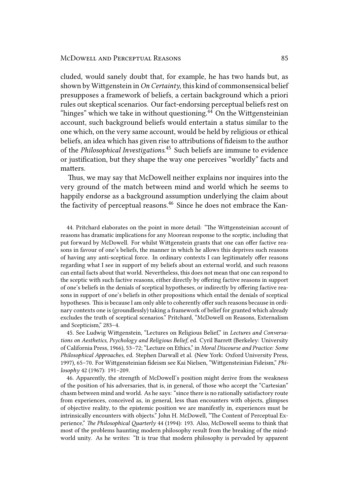#### McDowell and Perceptual Reasons 85

cluded, would sanely doubt that, for example, he has two hands but, as shown by Wittgenstein in *On Certainty*, this kind of commonsensical belief presupposes a framework of beliefs, a certain background which a priori rules out skeptical scenarios. Our fact-endorsing perceptual beliefs rest on "hinges" which we take in without questioning.<sup>44</sup> On the Wittgensteinian account, such background beliefs would entertain a status similar to the one which, on the very same account, would be held by religious or ethical beliefs, an idea which has given rise to attributions of fideism to the author of the *Philosophical Investigations*. <sup>45</sup> Such beliefs are immune to evidence or justification, but they shape the way one perceives "worldly" facts and matters.

Thus, we may say that McDowell neither explains nor inquires into the very ground of the match between mind and world which he seems to happily endorse as a background assumption underlying the claim about the factivity of perceptual reasons.<sup>46</sup> Since he does not embrace the Kan-

44. Pritchard elaborates on the point in more detail: "The Wittgensteinian account of reasons has dramatic implications for any Moorean response to the sceptic, including that put forward by McDowell. For whilst Wigenstein grants that one can offer factive reasons in favour of one's beliefs, the manner in which he allows this deprives such reasons of having any anti-sceptical force. In ordinary contexts I can legitimately offer reasons regarding what I see in support of my beliefs about an external world, and such reasons can entail facts about that world. Nevertheless, this does not mean that one can respond to the sceptic with such factive reasons, either directly by offering factive reasons in support of one's beliefs in the denials of sceptical hypotheses, or indirectly by offering factive reasons in support of one's beliefs in other propositions which entail the denials of sceptical hypotheses. This is because I am only able to coherently offer such reasons because in ordinary contexts one is (groundlessly) taking a framework of belief for granted which already excludes the truth of sceptical scenarios." Pritchard, "McDowell on Reasons, Externalism and Scepticism," 283–4.

45. See Ludwig Wittgenstein, "Lectures on Religious Belief," in *Lectures and Conversa*tions on Aesthetics, Psychology and Religious Belief, ed. Cyril Barrett (Berkeley: University of California Press, 1966), 53–72; "Lecture on Ethics," in *Moral Discourse and Practice: Some Philosophical Approaches*, ed. Stephen Darwall et al. (New York: Oxford University Press, 1997), 65-70. For Wittgensteinian fideism see Kai Nielsen, "Wittgensteinian Fideism," Phi*losophy* 42 (1967): 191–209.

46. Apparently, the strength of McDowell's position might derive from the weakness of the position of his adversaries, that is, in general, of those who accept the "Cartesian" chasm between mind and world. As he says: "since there is no rationally satisfactory route from experiences, conceived as, in general, less than encounters with objects, glimpses of objective reality, to the epistemic position we are manifestly in, experiences must be intrinsically encounters with objects." John H. McDowell, "The Content of Perceptual Experience," *The Philosophical Quarterly* 44 (1994): 193. Also, McDowell seems to think that most of the problems haunting modern philosophy result from the breaking of the mindworld unity. As he writes: "It is true that modern philosophy is pervaded by apparent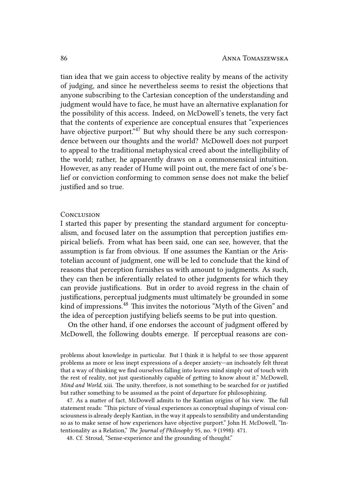tian idea that we gain access to objective reality by means of the activity of judging, and since he nevertheless seems to resist the objections that anyone subscribing to the Cartesian conception of the understanding and judgment would have to face, he must have an alternative explanation for the possibility of this access. Indeed, on McDowell's tenets, the very fact that the contents of experience are conceptual ensures that "experiences have objective purport."<sup>47</sup> But why should there be any such correspondence between our thoughts and the world? McDowell does not purport to appeal to the traditional metaphysical creed about the intelligibility of the world; rather, he apparently draws on a commonsensical intuition. However, as any reader of Hume will point out, the mere fact of one's belief or conviction conforming to common sense does not make the belief justified and so true.

#### **CONCLUSION**

I started this paper by presenting the standard argument for conceptualism, and focused later on the assumption that perception justifies empirical beliefs. From what has been said, one can see, however, that the assumption is far from obvious. If one assumes the Kantian or the Aristotelian account of judgment, one will be led to conclude that the kind of reasons that perception furnishes us with amount to judgments. As such, they can then be inferentially related to other judgments for which they can provide justifications. But in order to avoid regress in the chain of justifications, perceptual judgments must ultimately be grounded in some kind of impressions. $48$  This invites the notorious "Myth of the Given" and the idea of perception justifying beliefs seems to be put into question.

On the other hand, if one endorses the account of judgment offered by McDowell, the following doubts emerge. If perceptual reasons are con-

problems about knowledge in particular. But I think it is helpful to see those apparent problems as more or less inept expressions of a deeper anxiety—an inchoately felt threat that a way of thinking we find ourselves falling into leaves mind simply out of touch with the rest of reality, not just questionably capable of getting to know about it." McDowell, *Mind and World*, xiii. The unity, therefore, is not something to be searched for or justified but rather something to be assumed as the point of departure for philosophizing.

47. As a matter of fact, McDowell admits to the Kantian origins of his view. The full statement reads: "This picture of visual experiences as conceptual shapings of visual consciousness is already deeply Kantian, in the way it appeals to sensibility and understanding so as to make sense of how experiences have objective purport." John H. McDowell, "Intentionality as a Relation," *The Journal of Philosophy* 95, no. 9 (1998): 471.

48. Cf. Stroud, "Sense-experience and the grounding of thought."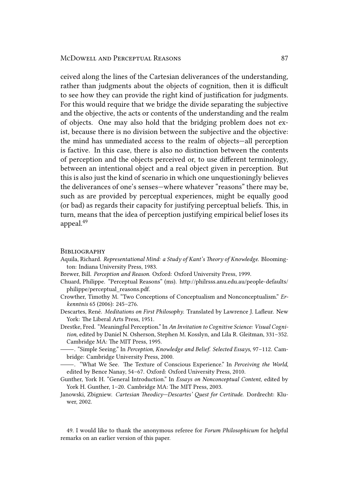ceived along the lines of the Cartesian deliverances of the understanding, rather than judgments about the objects of cognition, then it is difficult to see how they can provide the right kind of justification for judgments. For this would require that we bridge the divide separating the subjective and the objective, the acts or contents of the understanding and the realm of objects. One may also hold that the bridging problem does not exist, because there is no division between the subjective and the objective: the mind has unmediated access to the realm of objects—all perception is factive. In this case, there is also no distinction between the contents of perception and the objects perceived or, to use different terminology, between an intentional object and a real object given in perception. But this is also just the kind of scenario in which one unquestioningly believes the deliverances of one's senses—where whatever "reasons" there may be, such as are provided by perceptual experiences, might be equally good (or bad) as regards their capacity for justifying perceptual beliefs. This, in turn, means that the idea of perception justifying empirical belief loses its appeal.<sup>49</sup>

#### **BIBLIOGRAPHY**

- Aquila, Richard. *Representational Mind: a Study of Kant's Theory of Knowledge*. Bloomington: Indiana University Press, 1983.
- Brewer, Bill. *Perception and Reason*. Oxford: Oxford University Press, 1999.
- Chuard, Philippe. "Perceptual Reasons" (ms). http://philrsss.anu.edu.au/people-defaults/ philippe/perceptual\_reasons.pdf.
- Crowther, Timothy M. "Two Conceptions of Conceptualism and Nonconceptualism." *Erkenntnis* 65 (2006): 245–276.
- Descartes, René. *Meditations on First Philosophy*. Translated by Lawrence J. Lafleur. New York: The Liberal Arts Press, 1951.
- Drestke, Fred. "Meaningful Perception." In *An Invitation to Cognitive Science: Visual Cognition*, edited by Daniel N. Osherson, Stephen M. Kosslyn, and Lila R. Gleitman, 331–352. Cambridge MA: The MIT Press, 1995.
- . "Simple Seeing." In *Perception, Knowledge and Belief. Selected Essays*, 97–112. Cambridge: Cambridge University Press, 2000.
- -. "What We See. The Texture of Conscious Experience." In *Perceiving the World*, edited by Bence Nanay, 54–67. Oxford: Oxford University Press, 2010.
- Gunther, York H. "General Introduction." In *Essays on Nonconceptual Content*, edited by York H. Gunther, 1-20. Cambridge MA: The MIT Press, 2003.
- Janowski, Zbigniew. *Cartesian Theodicy-Descartes' Quest for Certitude*. Dordrecht: Kluwer, 2002.

49. I would like to thank the anonymous referee for *Forum Philosophicum* for helpful remarks on an earlier version of this paper.